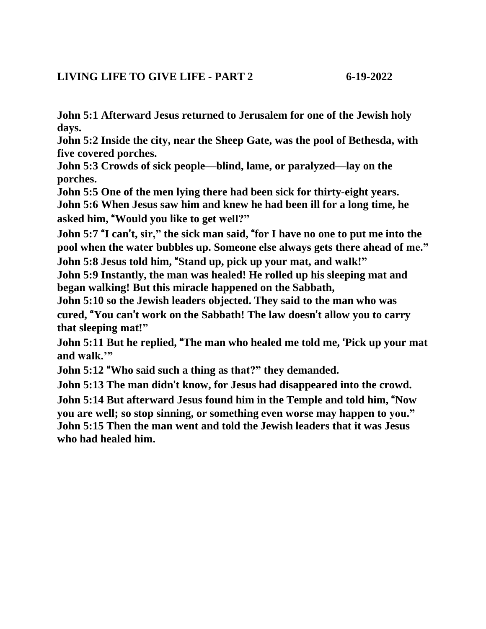**John 5:1 Afterward Jesus returned to Jerusalem for one of the Jewish holy days.**

**John 5:2 Inside the city, near the Sheep Gate, was the pool of Bethesda, with five covered porches.**

**John 5:3 Crowds of sick people—blind, lame, or paralyzed—lay on the porches.**

**John 5:5 One of the men lying there had been sick for thirty-eight years. John 5:6 When Jesus saw him and knew he had been ill for a long time, he asked him,** "**Would you like to get well?"**

**John 5:7** "**I can**'**t, sir," the sick man said,** "**for I have no one to put me into the pool when the water bubbles up. Someone else always gets there ahead of me."**

**John 5:8 Jesus told him,** "**Stand up, pick up your mat, and walk!"**

**John 5:9 Instantly, the man was healed! He rolled up his sleeping mat and began walking! But this miracle happened on the Sabbath,**

**John 5:10 so the Jewish leaders objected. They said to the man who was cured,** "**You can**'**t work on the Sabbath! The law doesn**'**t allow you to carry that sleeping mat!"**

**John 5:11 But he replied,** "**The man who healed me told me,** '**Pick up your mat and walk.'"**

**John 5:12** "**Who said such a thing as that?" they demanded.**

**John 5:13 The man didn**'**t know, for Jesus had disappeared into the crowd. John 5:14 But afterward Jesus found him in the Temple and told him,** "**Now you are well; so stop sinning, or something even worse may happen to you." John 5:15 Then the man went and told the Jewish leaders that it was Jesus who had healed him.**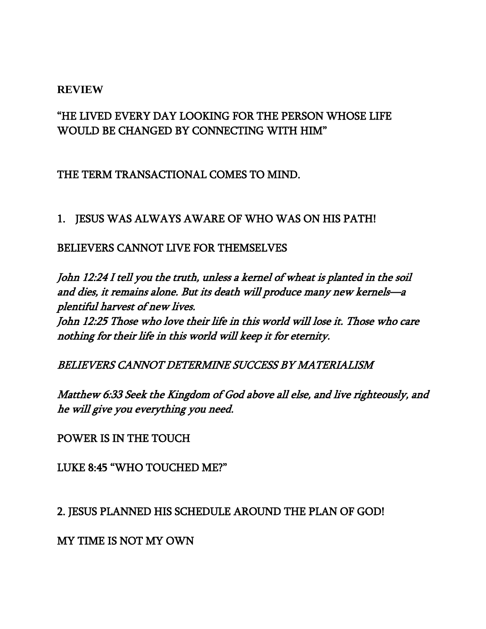#### **REVIEW**

# "HE LIVED EVERY DAY LOOKING FOR THE PERSON WHOSE LIFE WOULD BE CHANGED BY CONNECTING WITH HIM"

## THE TERM TRANSACTIONAL COMES TO MIND.

### 1. JESUS WAS ALWAYS AWARE OF WHO WAS ON HIS PATH!

#### BELIEVERS CANNOT LIVE FOR THEMSELVES

John 12:24 I tell you the truth, unless a kernel of wheat is planted in the soil and dies, it remains alone. But its death will produce many new kernels—<sup>a</sup> plentiful harvest of new lives.

John 12:25 Those who love their life in this world will lose it. Those who care nothing for their life in this world will keep it for eternity.

### BELIEVERS CANNOT DETERMINE SUCCESS BY MATERIALISM

Matthew 6:33 Seek the Kingdom of God above all else, and live righteously, and he will give you everything you need.

POWER IS IN THE TOUCH

LUKE 8:45 "WHO TOUCHED ME?"

2. JESUS PLANNED HIS SCHEDULE AROUND THE PLAN OF GOD!

MY TIME IS NOT MY OWN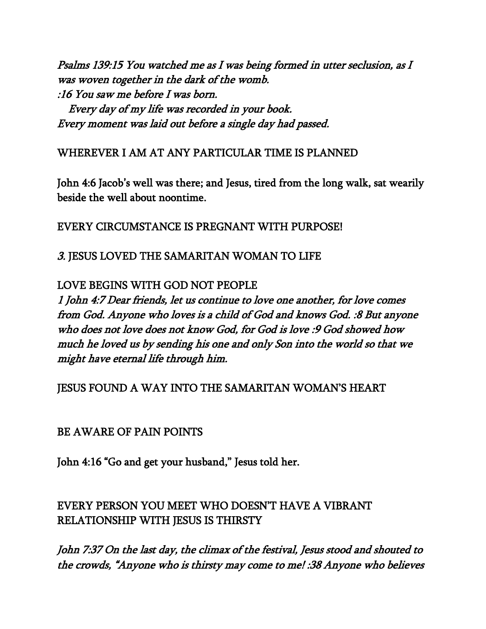Psalms 139:15 You watched me as I was being formed in utter seclusion, as I was woven together in the dark of the womb. :16 You saw me before I was born.

 Every day of my life was recorded in your book. Every moment was laid out before a single day had passed.

## WHEREVER I AM AT ANY PARTICULAR TIME IS PLANNED

John 4:6 Jacob's well was there; and Jesus, tired from the long walk, sat wearily beside the well about noontime.

# EVERY CIRCUMSTANCE IS PREGNANT WITH PURPOSE!

# 3. JESUS LOVED THE SAMARITAN WOMAN TO LIFE

# LOVE BEGINS WITH GOD NOT PEOPLE

1 John 4:7 Dear friends, let us continue to love one another, for love comes from God. Anyone who loves is a child of God and knows God. :8 But anyone who does not love does not know God, for God is love :9 God showed how much he loved us by sending his one and only Son into the world so that we might have eternal life through him.

## JESUS FOUND A WAY INTO THE SAMARITAN WOMAN'S HEART

## BE AWARE OF PAIN POINTS

John 4:16 "Go and get your husband," Jesus told her.

# EVERY PERSON YOU MEET WHO DOESN'T HAVE A VIBRANT RELATIONSHIP WITH JESUS IS THIRSTY

John 7:37 On the last day, the climax of the festival, Jesus stood and shouted to the crowds, "Anyone who is thirsty may come to me! :38 Anyone who believes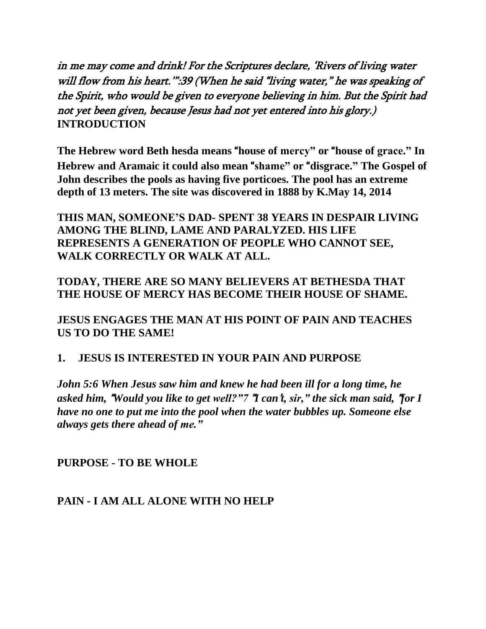in me may come and drink! For the Scriptures declare, 'Rivers of living water will flow from his heart."":39 (When he said "living water," he was speaking of the Spirit, who would be given to everyone believing in him. But the Spirit had not yet been given, because Jesus had not yet entered into his glory.) **INTRODUCTION**

**The Hebrew word Beth hesda means** "**house of mercy" or** "**house of grace." In Hebrew and Aramaic it could also mean** "**shame" or** "**disgrace." The Gospel of John describes the pools as having five porticoes. The pool has an extreme depth of 13 meters. The site was discovered in 1888 by K.May 14, 2014**

**THIS MAN, SOMEONE'S DAD- SPENT 38 YEARS IN DESPAIR LIVING AMONG THE BLIND, LAME AND PARALYZED. HIS LIFE REPRESENTS A GENERATION OF PEOPLE WHO CANNOT SEE, WALK CORRECTLY OR WALK AT ALL.**

**TODAY, THERE ARE SO MANY BELIEVERS AT BETHESDA THAT THE HOUSE OF MERCY HAS BECOME THEIR HOUSE OF SHAME.**

**JESUS ENGAGES THE MAN AT HIS POINT OF PAIN AND TEACHES US TO DO THE SAME!**

### **1. JESUS IS INTERESTED IN YOUR PAIN AND PURPOSE**

*John 5:6 When Jesus saw him and knew he had been ill for a long time, he asked him,* "*Would you like to get well?"7* "*I can*'*t, sir," the sick man said,* "*for I have no one to put me into the pool when the water bubbles up. Someone else always gets there ahead of me."*

**PURPOSE - TO BE WHOLE**

**PAIN - I AM ALL ALONE WITH NO HELP**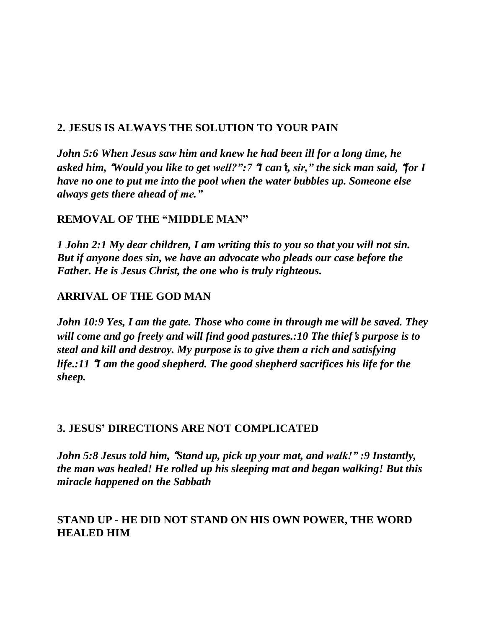### **2. JESUS IS ALWAYS THE SOLUTION TO YOUR PAIN**

*John 5:6 When Jesus saw him and knew he had been ill for a long time, he asked him,* "*Would you like to get well?":7* "*I can*'*t, sir," the sick man said,* "*for I have no one to put me into the pool when the water bubbles up. Someone else always gets there ahead of me."*

### **REMOVAL OF THE "MIDDLE MAN"**

*1 John 2:1 My dear children, I am writing this to you so that you will not sin. But if anyone does sin, we have an advocate who pleads our case before the Father. He is Jesus Christ, the one who is truly righteous.*

### **ARRIVAL OF THE GOD MAN**

*John 10:9 Yes, I am the gate. Those who come in through me will be saved. They will come and go freely and will find good pastures.:10 The thief*'*s purpose is to steal and kill and destroy. My purpose is to give them a rich and satisfying life.:11* "*I am the good shepherd. The good shepherd sacrifices his life for the sheep.*

### **3. JESUS' DIRECTIONS ARE NOT COMPLICATED**

*John 5:8 Jesus told him,* "*Stand up, pick up your mat, and walk!" :9 Instantly, the man was healed! He rolled up his sleeping mat and began walking! But this miracle happened on the Sabbath*

## **STAND UP - HE DID NOT STAND ON HIS OWN POWER, THE WORD HEALED HIM**